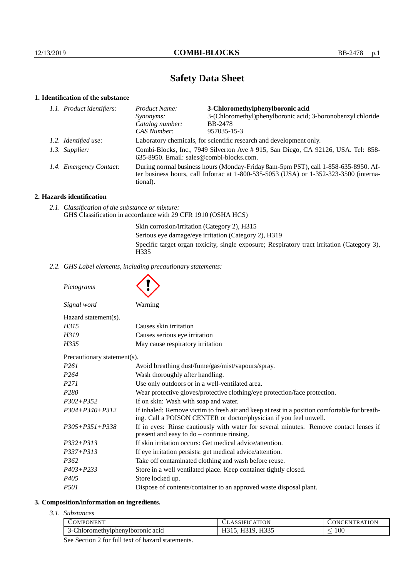# **Safety Data Sheet**

# **1. Identification of the substance**

| 1.1. Product identifiers: | Product Name:                                                                                                                                                                               | 3-Chloromethylphenylboronic acid                            |
|---------------------------|---------------------------------------------------------------------------------------------------------------------------------------------------------------------------------------------|-------------------------------------------------------------|
|                           | Synonyms:                                                                                                                                                                                   | 3-(Chloromethyl)phenylboronic acid; 3-boronobenzyl chloride |
|                           | Catalog number:                                                                                                                                                                             | <b>BB-2478</b>                                              |
|                           | CAS Number:                                                                                                                                                                                 | 957035-15-3                                                 |
| 1.2. Identified use:      | Laboratory chemicals, for scientific research and development only.                                                                                                                         |                                                             |
| 1.3. Supplier:            | Combi-Blocks, Inc., 7949 Silverton Ave #915, San Diego, CA 92126, USA. Tel: 858-<br>635-8950. Email: sales@combi-blocks.com.                                                                |                                                             |
| 1.4. Emergency Contact:   | During normal business hours (Monday-Friday 8am-5pm PST), call 1-858-635-8950. Af-<br>ter business hours, call Infotrac at $1-800-535-5053$ (USA) or $1-352-323-3500$ (interna-<br>tional). |                                                             |

# **2. Hazards identification**

*2.1. Classification of the substance or mixture:* GHS Classification in accordance with 29 CFR 1910 (OSHA HCS)

> Skin corrosion/irritation (Category 2), H315 Serious eye damage/eye irritation (Category 2), H319 Specific target organ toxicity, single exposure; Respiratory tract irritation (Category 3), H335

*2.2. GHS Label elements, including precautionary statements:*

*Pictograms*

Ä

| Signal word<br>Warning                                                |  |
|-----------------------------------------------------------------------|--|
| $Hazard statement(s)$ .                                               |  |
| H315<br>Causes skin irritation                                        |  |
| Causes serious eye irritation<br>H319                                 |  |
| May cause respiratory irritation<br>H335                              |  |
| Precautionary statement(s).                                           |  |
| P <sub>261</sub><br>Avoid breathing dust/fume/gas/mist/vapours/spray. |  |
| P <sub>264</sub><br>Wash thoroughly after handling.                   |  |
| Use only outdoors or in a well-ventilated area.<br><i>P271</i>        |  |

|                      | $\frac{1}{2}$                                                                                                                                                      |  |
|----------------------|--------------------------------------------------------------------------------------------------------------------------------------------------------------------|--|
| <i>P271</i>          | Use only outdoors or in a well-ventilated area.                                                                                                                    |  |
| P <sub>280</sub>     | Wear protective gloves/protective clothing/eye protection/face protection.                                                                                         |  |
| $P302 + P352$        | If on skin: Wash with soap and water.                                                                                                                              |  |
| $P304 + P340 + P312$ | If inhaled: Remove victim to fresh air and keep at rest in a position comfortable for breath-<br>ing. Call a POISON CENTER or doctor/physician if you feel unwell. |  |
| $P305 + P351 + P338$ | If in eyes: Rinse cautiously with water for several minutes. Remove contact lenses if<br>present and easy to $do$ – continue rinsing.                              |  |
| $P332 + P313$        | If skin irritation occurs: Get medical advice/attention.                                                                                                           |  |
| $P337 + P313$        | If eye irritation persists: get medical advice/attention.                                                                                                          |  |
| P <sub>362</sub>     | Take off contaminated clothing and wash before reuse.                                                                                                              |  |
| $P403 + P233$        | Store in a well ventilated place. Keep container tightly closed.                                                                                                   |  |
| P405                 | Store locked up.                                                                                                                                                   |  |
| <i>P501</i>          | Dispose of contents/container to an approved waste disposal plant.                                                                                                 |  |
|                      |                                                                                                                                                                    |  |

## **3. Composition/information on ingredients.**

*3.1. Substances*

| 'OMPONENT                        | 'ATION<br>IFI      | <b>TRATION</b><br><b>INI</b><br>нN |
|----------------------------------|--------------------|------------------------------------|
| 3-Chloromethylphenylboronic acid | <b>H335</b><br>11J | $100\,$                            |
|                                  |                    |                                    |

See Section 2 for full text of hazard statements.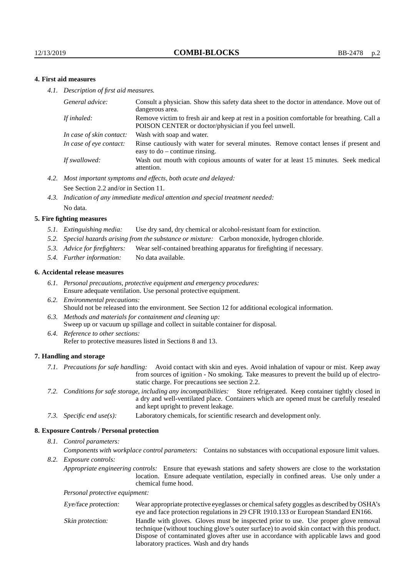## **4. First aid measures**

*4.1. Description of first aid measures.*

| General advice:          | Consult a physician. Show this safety data sheet to the doctor in attendance. Move out of<br>dangerous area.                                         |
|--------------------------|------------------------------------------------------------------------------------------------------------------------------------------------------|
| If inhaled:              | Remove victim to fresh air and keep at rest in a position comfortable for breathing. Call a<br>POISON CENTER or doctor/physician if you feel unwell. |
| In case of skin contact: | Wash with soap and water.                                                                                                                            |
| In case of eve contact:  | Rinse cautiously with water for several minutes. Remove contact lenses if present and<br>easy to $do$ – continue rinsing.                            |
| If swallowed:            | Wash out mouth with copious amounts of water for at least 15 minutes. Seek medical<br>attention.                                                     |

- *4.2. Most important symptoms and effects, both acute and delayed:* See Section 2.2 and/or in Section 11.
- *4.3. Indication of any immediate medical attention and special treatment needed:* No data.

#### **5. Fire fighting measures**

- *5.1. Extinguishing media:* Use dry sand, dry chemical or alcohol-resistant foam for extinction.
- *5.2. Special hazards arising from the substance or mixture:* Carbon monoxide, hydrogen chloride.
- *5.3. Advice for firefighters:* Wear self-contained breathing apparatus for firefighting if necessary.
- *5.4. Further information:* No data available.

#### **6. Accidental release measures**

- *6.1. Personal precautions, protective equipment and emergency procedures:* Ensure adequate ventilation. Use personal protective equipment.
- *6.2. Environmental precautions:* Should not be released into the environment. See Section 12 for additional ecological information.
- *6.3. Methods and materials for containment and cleaning up:* Sweep up or vacuum up spillage and collect in suitable container for disposal.
- *6.4. Reference to other sections:* Refer to protective measures listed in Sections 8 and 13.

### **7. Handling and storage**

- *7.1. Precautions for safe handling:* Avoid contact with skin and eyes. Avoid inhalation of vapour or mist. Keep away from sources of ignition - No smoking. Take measures to prevent the build up of electrostatic charge. For precautions see section 2.2.
- *7.2. Conditions for safe storage, including any incompatibilities:* Store refrigerated. Keep container tightly closed in a dry and well-ventilated place. Containers which are opened must be carefully resealed and kept upright to prevent leakage.
- *7.3. Specific end use(s):* Laboratory chemicals, for scientific research and development only.

### **8. Exposure Controls / Personal protection**

*8.1. Control parameters:*

*Components with workplace control parameters:* Contains no substances with occupational exposure limit values.

*8.2. Exposure controls:*

*Appropriate engineering controls:* Ensure that eyewash stations and safety showers are close to the workstation location. Ensure adequate ventilation, especially in confined areas. Use only under a chemical fume hood.

*Personal protective equipment:*

| Eye/face protection: | Wear appropriate protective eyeglasses or chemical safety goggles as described by OSHA's<br>eye and face protection regulations in 29 CFR 1910.133 or European Standard EN166.                                                                                                                                         |
|----------------------|------------------------------------------------------------------------------------------------------------------------------------------------------------------------------------------------------------------------------------------------------------------------------------------------------------------------|
| Skin protection:     | Handle with gloves. Gloves must be inspected prior to use. Use proper glove removal<br>technique (without touching glove's outer surface) to avoid skin contact with this product.<br>Dispose of contaminated gloves after use in accordance with applicable laws and good<br>laboratory practices. Wash and dry hands |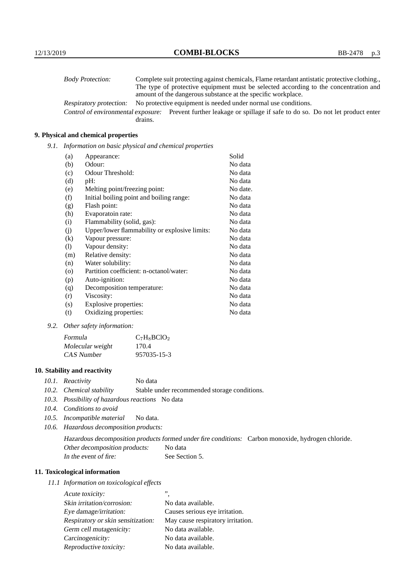| <b>Body Protection:</b> |         | Complete suit protecting against chemicals, Flame retardant antistatic protective clothing.                       |
|-------------------------|---------|-------------------------------------------------------------------------------------------------------------------|
|                         |         | The type of protective equipment must be selected according to the concentration and                              |
|                         |         | amount of the dangerous substance at the specific workplace.                                                      |
| Respiratory protection: |         | No protective equipment is needed under normal use conditions.                                                    |
|                         |         | Control of environmental exposure: Prevent further leakage or spillage if safe to do so. Do not let product enter |
|                         | drains. |                                                                                                                   |

## **9. Physical and chemical properties**

*9.1. Information on basic physical and chemical properties*

| (a)      | Appearance:                                   | Solid    |
|----------|-----------------------------------------------|----------|
| (b)      | Odour:                                        | No data  |
| (c)      | Odour Threshold:                              | No data  |
| (d)      | pH:                                           | No data  |
| (e)      | Melting point/freezing point:                 | No date. |
| (f)      | Initial boiling point and boiling range:      | No data  |
| (g)      | Flash point:                                  | No data  |
| (h)      | Evaporatoin rate:                             | No data  |
| (i)      | Flammability (solid, gas):                    | No data  |
| (j)      | Upper/lower flammability or explosive limits: | No data  |
| $\rm(k)$ | Vapour pressure:                              | No data  |
| (1)      | Vapour density:                               | No data  |
| (m)      | Relative density:                             | No data  |
| (n)      | Water solubility:                             | No data  |
| $\circ$  | Partition coefficient: n-octanol/water:       | No data  |
| (p)      | Auto-ignition:                                | No data  |
| (q)      | Decomposition temperature:                    | No data  |
| (r)      | Viscosity:                                    | No data  |
| (s)      | Explosive properties:                         | No data  |
| (t)      | Oxidizing properties:                         | No data  |

*9.2. Other safety information:*

| Formula          | $C_7H_8BCIO_2$ |
|------------------|----------------|
| Molecular weight | 170.4          |
| CAS Number       | 957035-15-3    |

## **10. Stability and reactivity**

- *10.1. Reactivity* No data
- *10.2. Chemical stability* Stable under recommended storage conditions.
- *10.3. Possibility of hazardous reactions* No data
- *10.4. Conditions to avoid*
- *10.5. Incompatible material* No data.
- *10.6. Hazardous decomposition products:*

Hazardous decomposition products formed under fire conditions: Carbon monoxide, hydrogen chloride. Other decomposition products: No data In the event of fire: See Section 5.

## **11. Toxicological information**

*11.1 Information on toxicological effects*

| Acute toxicity:                    | ,,                                |
|------------------------------------|-----------------------------------|
| Skin irritation/corrosion:         | No data available.                |
| Eye damage/irritation:             | Causes serious eye irritation.    |
| Respiratory or skin sensitization: | May cause respiratory irritation. |
| Germ cell mutagenicity:            | No data available.                |
| Carcinogenicity:                   | No data available.                |
| Reproductive toxicity:             | No data available.                |